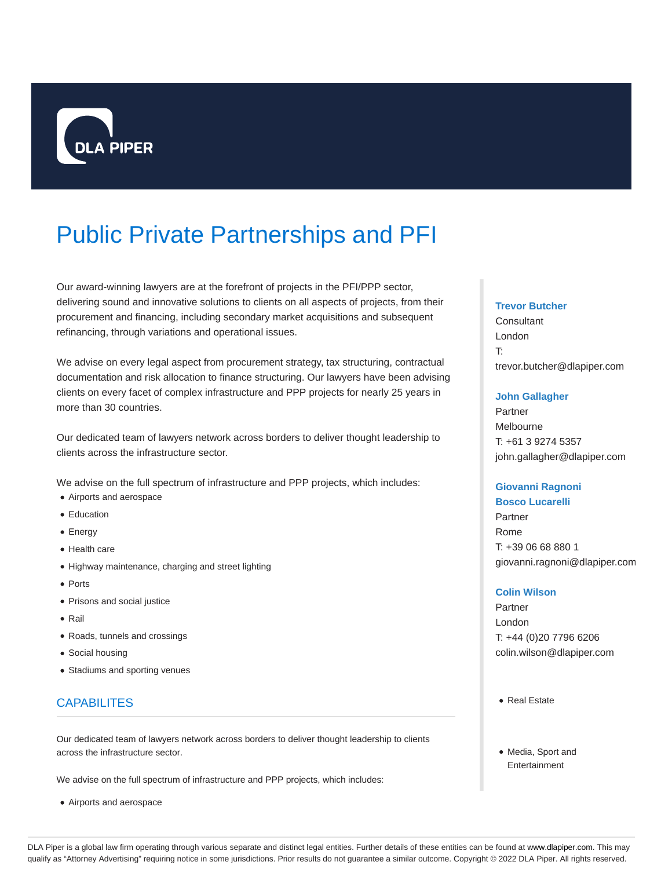

# Public Private Partnerships and PFI

Our award-winning lawyers are at the forefront of projects in the PFI/PPP sector, delivering sound and innovative solutions to clients on all aspects of projects, from their procurement and financing, including secondary market acquisitions and subsequent refinancing, through variations and operational issues.

We advise on every legal aspect from procurement strategy, tax structuring, contractual documentation and risk allocation to finance structuring. Our lawyers have been advising clients on every facet of complex infrastructure and PPP projects for nearly 25 years in more than 30 countries.

Our dedicated team of lawyers network across borders to deliver thought leadership to clients across the infrastructure sector.

We advise on the full spectrum of infrastructure and PPP projects, which includes:

- Airports and aerospace
- **•** Education
- Energy
- Health care
- Highway maintenance, charging and street lighting
- Ports
- Prisons and social justice
- Rail
- Roads, tunnels and crossings
- Social housing
- Stadiums and sporting venues

# **CAPABILITES**

Our dedicated team of lawyers network across borders to deliver thought leadership to clients across the infrastructure sector.

We advise on the full spectrum of infrastructure and PPP projects, which includes:

Airports and aerospace

#### **Trevor Butcher**

**Consultant** London T: trevor.butcher@dlapiper.com

#### **John Gallagher**

Partner Melbourne T: +61 3 9274 5357 john.gallagher@dlapiper.com

#### **Giovanni Ragnoni**

**Bosco Lucarelli** Partner Rome T: +39 06 68 880 1 giovanni.ragnoni@dlapiper.com

#### **Colin Wilson**

Partner London T: +44 (0)20 7796 6206 colin.wilson@dlapiper.com

- Real Estate
- Media, Sport and Entertainment

DLA Piper is a global law firm operating through various separate and distinct legal entities. Further details of these entities can be found at www.dlapiper.com. This may qualify as "Attorney Advertising" requiring notice in some jurisdictions. Prior results do not guarantee a similar outcome. Copyright @ 2022 DLA Piper. All rights reserved.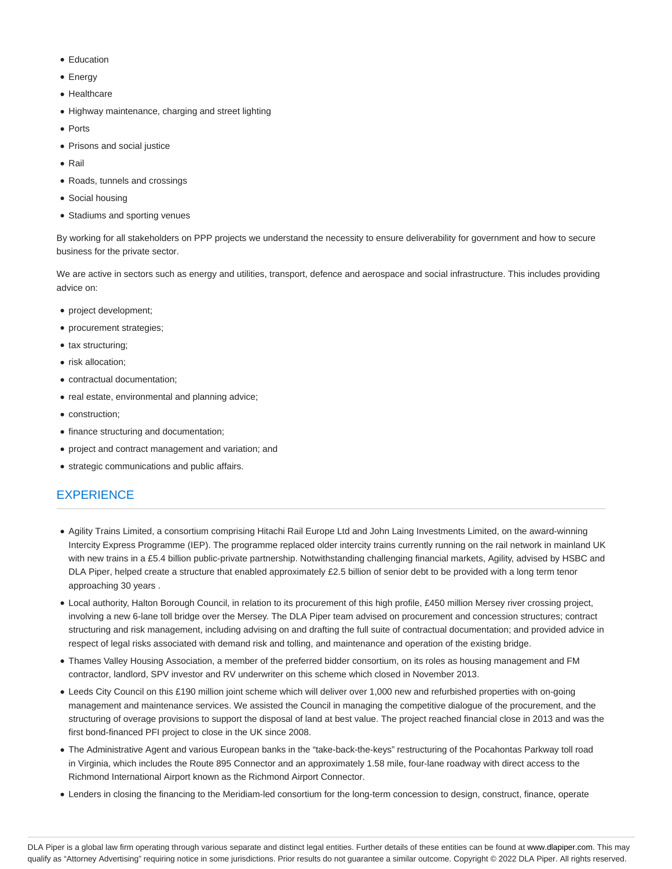- **Education**
- Energy
- Healthcare
- Highway maintenance, charging and street lighting
- Ports
- Prisons and social justice
- $\bullet$  Rail
- Roads, tunnels and crossings
- Social housing
- Stadiums and sporting venues

By working for all stakeholders on PPP projects we understand the necessity to ensure deliverability for government and how to secure business for the private sector.

We are active in sectors such as energy and utilities, transport, defence and aerospace and social infrastructure. This includes providing advice on:

- project development;
- procurement strategies;
- tax structuring;
- risk allocation;
- contractual documentation;
- real estate, environmental and planning advice;
- construction;
- finance structuring and documentation;
- project and contract management and variation; and
- strategic communications and public affairs.

## **EXPERIENCE**

- Agility Trains Limited, a consortium comprising Hitachi Rail Europe Ltd and John Laing Investments Limited, on the award-winning Intercity Express Programme (IEP). The programme replaced older intercity trains currently running on the rail network in mainland UK with new trains in a £5.4 billion public-private partnership. Notwithstanding challenging financial markets, Agility, advised by HSBC and DLA Piper, helped create a structure that enabled approximately £2.5 billion of senior debt to be provided with a long term tenor approaching 30 years .
- Local authority, Halton Borough Council, in relation to its procurement of this high profile, £450 million Mersey river crossing project, involving a new 6-lane toll bridge over the Mersey. The DLA Piper team advised on procurement and concession structures; contract structuring and risk management, including advising on and drafting the full suite of contractual documentation; and provided advice in respect of legal risks associated with demand risk and tolling, and maintenance and operation of the existing bridge.
- Thames Valley Housing Association, a member of the preferred bidder consortium, on its roles as housing management and FM contractor, landlord, SPV investor and RV underwriter on this scheme which closed in November 2013.
- Leeds City Council on this £190 million joint scheme which will deliver over 1,000 new and refurbished properties with on-going management and maintenance services. We assisted the Council in managing the competitive dialogue of the procurement, and the structuring of overage provisions to support the disposal of land at best value. The project reached financial close in 2013 and was the first bond-financed PFI project to close in the UK since 2008.
- The Administrative Agent and various European banks in the "take-back-the-keys" restructuring of the Pocahontas Parkway toll road in Virginia, which includes the Route 895 Connector and an approximately 1.58 mile, four-lane roadway with direct access to the Richmond International Airport known as the Richmond Airport Connector.
- Lenders in closing the financing to the Meridiam-led consortium for the long-term concession to design, construct, finance, operate